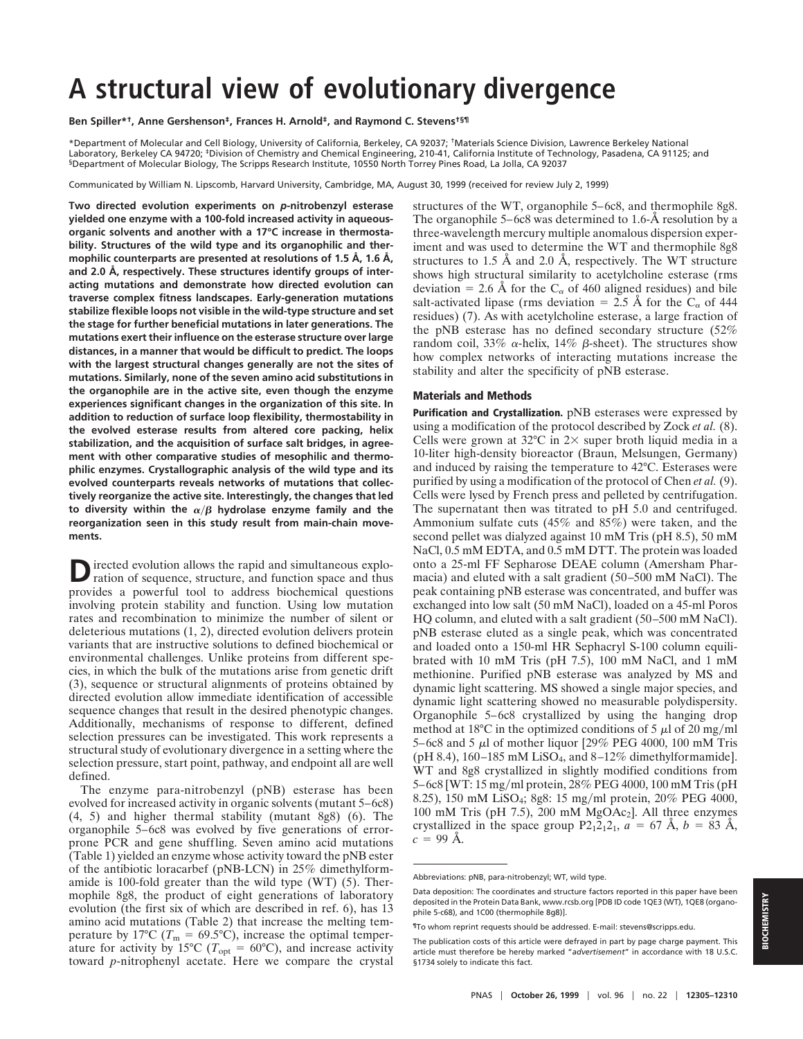# **A structural view of evolutionary divergence**

#### **Ben Spiller\*†, Anne Gershenson‡, Frances H. Arnold‡, and Raymond C. Stevens†§¶**

\*Department of Molecular and Cell Biology, University of California, Berkeley, CA 92037; †Materials Science Division, Lawrence Berkeley National Laboratory, Berkeley CA 94720; ‡Division of Chemistry and Chemical Engineering, 210-41, California Institute of Technology, Pasadena, CA 91125; and §Department of Molecular Biology, The Scripps Research Institute, 10550 North Torrey Pines Road, La Jolla, CA 92037

Communicated by William N. Lipscomb, Harvard University, Cambridge, MA, August 30, 1999 (received for review July 2, 1999)

**Two directed evolution experiments on** *p***-nitrobenzyl esterase yielded one enzyme with a 100-fold increased activity in aqueousorganic solvents and another with a 17°C increase in thermostability. Structures of the wild type and its organophilic and thermophilic counterparts are presented at resolutions of 1.5 Å, 1.6 Å, and 2.0 Å, respectively. These structures identify groups of interacting mutations and demonstrate how directed evolution can traverse complex fitness landscapes. Early-generation mutations stabilize flexible loops not visible in the wild-type structure and set the stage for further beneficial mutations in later generations. The mutations exert their influence on the esterase structure over large distances, in a manner that would be difficult to predict. The loops with the largest structural changes generally are not the sites of mutations. Similarly, none of the seven amino acid substitutions in the organophile are in the active site, even though the enzyme experiences significant changes in the organization of this site. In addition to reduction of surface loop flexibility, thermostability in the evolved esterase results from altered core packing, helix stabilization, and the acquisition of surface salt bridges, in agreement with other comparative studies of mesophilic and thermophilic enzymes. Crystallographic analysis of the wild type and its evolved counterparts reveals networks of mutations that collectively reorganize the active site. Interestingly, the changes that led** to diversity within the  $\alpha/\beta$  hydrolase enzyme family and the **reorganization seen in this study result from main-chain movements.**

D irected evolution allows the rapid and simultaneous exploration of sequence, structure, and function space and thus provides a powerful tool to address biochemical questions involving protein stability and function. Using low mutation rates and recombination to minimize the number of silent or deleterious mutations (1, 2), directed evolution delivers protein variants that are instructive solutions to defined biochemical or environmental challenges. Unlike proteins from different species, in which the bulk of the mutations arise from genetic drift (3), sequence or structural alignments of proteins obtained by directed evolution allow immediate identification of accessible sequence changes that result in the desired phenotypic changes. Additionally, mechanisms of response to different, defined selection pressures can be investigated. This work represents a structural study of evolutionary divergence in a setting where the selection pressure, start point, pathway, and endpoint all are well defined.

The enzyme para-nitrobenzyl (pNB) esterase has been evolved for increased activity in organic solvents (mutant 5–6c8) (4, 5) and higher thermal stability (mutant 8g8) (6). The organophile 5–6c8 was evolved by five generations of errorprone PCR and gene shuffling. Seven amino acid mutations (Table 1) yielded an enzyme whose activity toward the pNB ester of the antibiotic loracarbef (pNB-LCN) in 25% dimethylformamide is 100-fold greater than the wild type (WT) (5). Thermophile 8g8, the product of eight generations of laboratory evolution (the first six of which are described in ref. 6), has 13 amino acid mutations (Table 2) that increase the melting temperature by 17<sup>o</sup>C ( $T_m = 69.5$ <sup>o</sup>C), increase the optimal temperature for activity by 15<sup>o</sup>C ( $T_{opt} = 60^{\circ}$ C), and increase activity toward *p*-nitrophenyl acetate. Here we compare the crystal

structures of the WT, organophile 5–6c8, and thermophile 8g8. The organophile 5–6c8 was determined to 1.6-Å resolution by a three-wavelength mercury multiple anomalous dispersion experiment and was used to determine the WT and thermophile 8g8 structures to 1.5 Å and 2.0 Å, respectively. The WT structure shows high structural similarity to acetylcholine esterase (rms deviation = 2.6 Å for the C<sub> $\alpha$ </sub> of 460 aligned residues) and bile salt-activated lipase (rms deviation = 2.5 Å for the  $C_{\alpha}$  of 444 residues) (7). As with acetylcholine esterase, a large fraction of the pNB esterase has no defined secondary structure (52% random coil, 33%  $\alpha$ -helix, 14%  $\beta$ -sheet). The structures show how complex networks of interacting mutations increase the stability and alter the specificity of pNB esterase.

## **Materials and Methods**

**Purification and Crystallization.** pNB esterases were expressed by using a modification of the protocol described by Zock *et al.* (8). Cells were grown at  $32^{\circ}$ C in  $2 \times$  super broth liquid media in a 10-liter high-density bioreactor (Braun, Melsungen, Germany) and induced by raising the temperature to 42°C. Esterases were purified by using a modification of the protocol of Chen *et al.* (9). Cells were lysed by French press and pelleted by centrifugation. The supernatant then was titrated to pH 5.0 and centrifuged. Ammonium sulfate cuts (45% and 85%) were taken, and the second pellet was dialyzed against 10 mM Tris (pH 8.5), 50 mM NaCl, 0.5 mM EDTA, and 0.5 mM DTT. The protein was loaded onto a 25-ml FF Sepharose DEAE column (Amersham Pharmacia) and eluted with a salt gradient (50–500 mM NaCl). The peak containing pNB esterase was concentrated, and buffer was exchanged into low salt (50 mM NaCl), loaded on a 45-ml Poros HQ column, and eluted with a salt gradient (50–500 mM NaCl). pNB esterase eluted as a single peak, which was concentrated and loaded onto a 150-ml HR Sephacryl S-100 column equilibrated with 10 mM Tris (pH 7.5), 100 mM NaCl, and 1 mM methionine. Purified pNB esterase was analyzed by MS and dynamic light scattering. MS showed a single major species, and dynamic light scattering showed no measurable polydispersity. Organophile 5–6c8 crystallized by using the hanging drop method at 18°C in the optimized conditions of 5  $\mu$ l of 20 mg/ml 5–6c8 and 5  $\mu$ l of mother liquor [29% PEG 4000, 100 mM Tris (pH 8.4),  $160-185$  mM LiSO<sub>4</sub>, and  $8-12\%$  dimethylformamide]. WT and 8g8 crystallized in slightly modified conditions from 5–6c8 [WT: 15 mg/ml protein, 28% PEG 4000, 100 mM Tris (pH) 8.25), 150 mM LiSO<sub>4</sub>; 8g8: 15 mg/ml protein, 20% PEG 4000, 100 mM Tris (pH 7.5), 200 mM  $MgOAc<sub>2</sub>$ ]. All three enzymes crystallized in the space group  $P2_12_12_1$ ,  $a = 67 \text{ Å}, b = 83 \text{ Å}$ ,  $c = 99 \text{ Å}.$ 

Abbreviations: pNB, para-nitrobenzyl; WT, wild type.

Data deposition: The coordinates and structure factors reported in this paper have been deposited in the Protein Data Bank, www.rcsb.org [PDB ID code 1QE3 (WT), 1QE8 (organophile 5-c68), and 1C00 (thermophile 8g8)].

<sup>¶</sup>To whom reprint requests should be addressed. E-mail: stevens@scripps.edu.

The publication costs of this article were defrayed in part by page charge payment. This article must therefore be hereby marked "*advertisement*" in accordance with 18 U.S.C. §1734 solely to indicate this fact.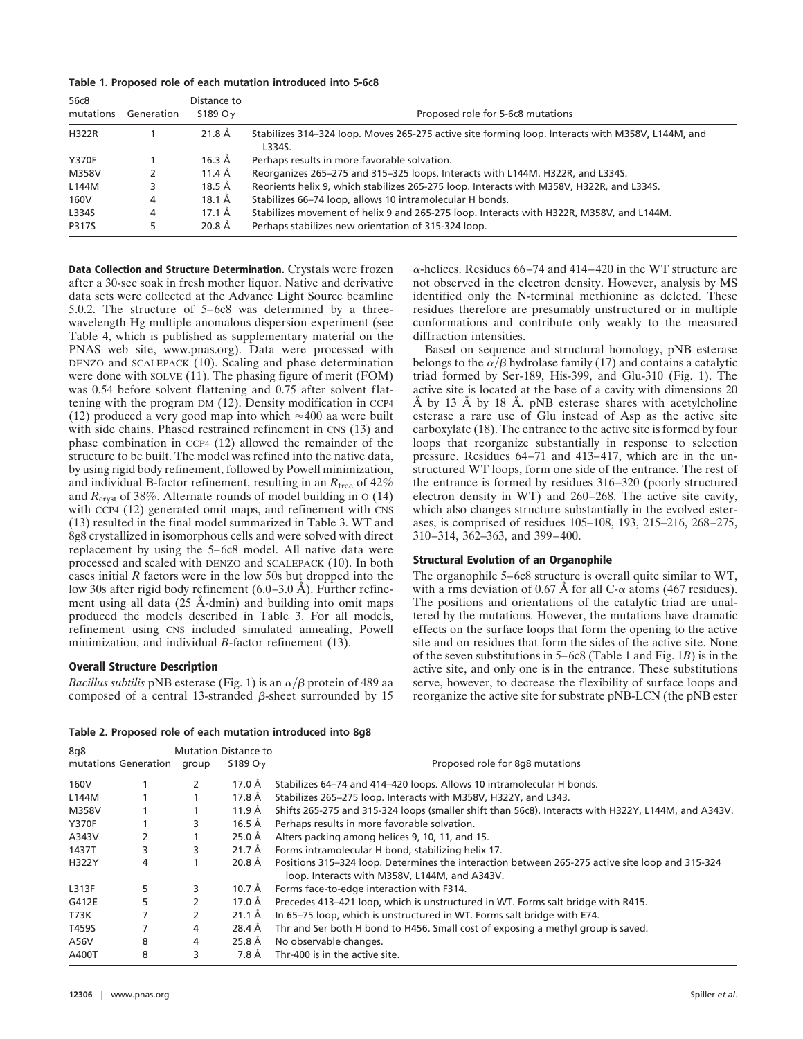|  |  |  |  |  | Table 1. Proposed role of each mutation introduced into 5-6c8 |  |  |
|--|--|--|--|--|---------------------------------------------------------------|--|--|
|--|--|--|--|--|---------------------------------------------------------------|--|--|

| 56c8<br>mutations | Generation | Distance to<br>S189 O $\gamma$ | Proposed role for 5-6c8 mutations                                                                           |
|-------------------|------------|--------------------------------|-------------------------------------------------------------------------------------------------------------|
| <b>H322R</b>      |            | 21.8 Å                         | Stabilizes 314-324 loop. Moves 265-275 active site forming loop. Interacts with M358V, L144M, and<br>L334S. |
| <b>Y370F</b>      |            | $16.3 \text{ Å}$               | Perhaps results in more favorable solvation.                                                                |
| M358V             |            | 11.4 Å                         | Reorganizes 265-275 and 315-325 loops. Interacts with L144M. H322R, and L334S.                              |
| L144M             |            | 18.5 Å                         | Reorients helix 9, which stabilizes 265-275 loop. Interacts with M358V, H322R, and L334S.                   |
| 160V              | 4          | 18.1 Å                         | Stabilizes 66–74 loop, allows 10 intramolecular H bonds.                                                    |
| L334S             | 4          | 17.1 Å                         | Stabilizes movement of helix 9 and 265-275 loop. Interacts with H322R, M358V, and L144M.                    |
| P317S             |            | 20.8 Å                         | Perhaps stabilizes new orientation of 315-324 loop.                                                         |

**Data Collection and Structure Determination.** Crystals were frozen after a 30-sec soak in fresh mother liquor. Native and derivative data sets were collected at the Advance Light Source beamline 5.0.2. The structure of 5–6c8 was determined by a threewavelength Hg multiple anomalous dispersion experiment (see Table 4, which is published as supplementary material on the PNAS web site, www.pnas.org). Data were processed with DENZO and SCALEPACK (10). Scaling and phase determination were done with SOLVE (11). The phasing figure of merit (FOM) was 0.54 before solvent flattening and 0.75 after solvent flattening with the program DM (12). Density modification in CCP4 (12) produced a very good map into which  $\approx$ 400 aa were built with side chains. Phased restrained refinement in CNS (13) and phase combination in CCP4 (12) allowed the remainder of the structure to be built. The model was refined into the native data, by using rigid body refinement, followed by Powell minimization, and individual B-factor refinement, resulting in an  $R_{\text{free}}$  of 42% and  $R_{cryst}$  of 38%. Alternate rounds of model building in  $\sigma$  (14) with CCP4 (12) generated omit maps, and refinement with CNS (13) resulted in the final model summarized in Table 3. WT and 8g8 crystallized in isomorphous cells and were solved with direct replacement by using the 5–6c8 model. All native data were processed and scaled with DENZO and SCALEPACK (10). In both cases initial *R* factors were in the low 50s but dropped into the low 30s after rigid body refinement (6.0–3.0 Å). Further refinement using all data (25 Å-dmin) and building into omit maps produced the models described in Table 3. For all models, refinement using CNS included simulated annealing, Powell minimization, and individual *B*-factor refinement (13).

### **Overall Structure Description**

 $8a8$ 

*Bacillus subtilis* pNB esterase (Fig. 1) is an  $\alpha/\beta$  protein of 489 aa composed of a central 13-stranded  $\beta$ -sheet surrounded by 15

 $\alpha$ -helices. Residues 66–74 and 414–420 in the WT structure are not observed in the electron density. However, analysis by MS identified only the N-terminal methionine as deleted. These residues therefore are presumably unstructured or in multiple conformations and contribute only weakly to the measured diffraction intensities.

Based on sequence and structural homology, pNB esterase belongs to the  $\alpha/\beta$  hydrolase family (17) and contains a catalytic triad formed by Ser-189, His-399, and Glu-310 (Fig. 1). The active site is located at the base of a cavity with dimensions 20 Å by 13 Å by 18 Å. pNB esterase shares with acetylcholine esterase a rare use of Glu instead of Asp as the active site carboxylate (18). The entrance to the active site is formed by four loops that reorganize substantially in response to selection pressure. Residues 64–71 and 413–417, which are in the unstructured WT loops, form one side of the entrance. The rest of the entrance is formed by residues 316–320 (poorly structured electron density in WT) and 260–268. The active site cavity, which also changes structure substantially in the evolved esterases, is comprised of residues 105–108, 193, 215–216, 268–275, 310–314, 362–363, and 399–400.

#### **Structural Evolution of an Organophile**

The organophile 5–6c8 structure is overall quite similar to WT, with a rms deviation of 0.67 Å for all C- $\alpha$  atoms (467 residues). The positions and orientations of the catalytic triad are unaltered by the mutations. However, the mutations have dramatic effects on the surface loops that form the opening to the active site and on residues that form the sides of the active site. None of the seven substitutions in 5–6c8 (Table 1 and Fig. 1*B*) is in the active site, and only one is in the entrance. These substitutions serve, however, to decrease the flexibility of surface loops and reorganize the active site for substrate pNB-LCN (the pNB ester

|  |  | Table 2. Proposed role of each mutation introduced into 8g8 |  |
|--|--|-------------------------------------------------------------|--|
|  |  |                                                             |  |

| 8q8          |                      |       | <b>Mutation Distance to</b> |                                                                                                                                                  |
|--------------|----------------------|-------|-----------------------------|--------------------------------------------------------------------------------------------------------------------------------------------------|
|              | mutations Generation | group | S189 O $\gamma$             | Proposed role for 8q8 mutations                                                                                                                  |
| 160V         |                      | 2     | 17.0 Å                      | Stabilizes 64-74 and 414-420 loops. Allows 10 intramolecular H bonds.                                                                            |
| L144M        |                      |       | 17.8 Å                      | Stabilizes 265-275 loop. Interacts with M358V, H322Y, and L343.                                                                                  |
| M358V        |                      |       | 11.9 Å                      | Shifts 265-275 and 315-324 loops (smaller shift than 56c8). Interacts with H322Y, L144M, and A343V.                                              |
| <b>Y370F</b> |                      | 3     | 16.5 Å                      | Perhaps results in more favorable solvation.                                                                                                     |
| A343V        | 2                    |       | 25.0 Å                      | Alters packing among helices 9, 10, 11, and 15.                                                                                                  |
| 1437T        | 3                    | 3     | $21.7 \text{ Å}$            | Forms intramolecular H bond, stabilizing helix 17.                                                                                               |
| H322Y        | 4                    |       | 20.8 Å                      | Positions 315-324 loop. Determines the interaction between 265-275 active site loop and 315-324<br>loop. Interacts with M358V, L144M, and A343V. |
| L313F        | 5                    | 3     | 10.7 Å                      | Forms face-to-edge interaction with F314.                                                                                                        |
| G412E        | 5                    |       | 17.0 Å                      | Precedes 413-421 loop, which is unstructured in WT. Forms salt bridge with R415.                                                                 |
| T73K         |                      | 2     | $21.1 \text{ Å}$            | In 65-75 loop, which is unstructured in WT. Forms salt bridge with E74.                                                                          |
| T459S        |                      | 4     | 28.4 Å                      | Thr and Ser both H bond to H456. Small cost of exposing a methyl group is saved.                                                                 |
| A56V         | 8                    | 4     | 25.8 Å                      | No observable changes.                                                                                                                           |
| A400T        | 8                    | 3     | 7.8 Å                       | Thr-400 is in the active site.                                                                                                                   |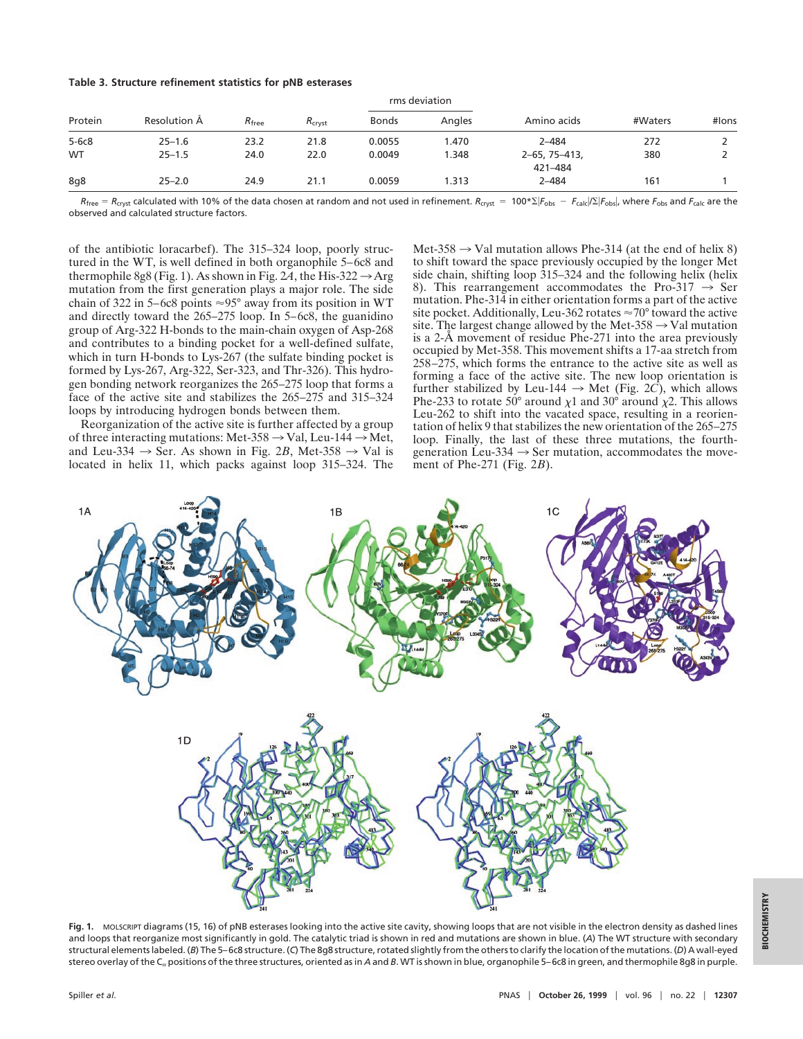#### **Table 3. Structure refinement statistics for pNB esterases**

|           |              |                   |                    | rms deviation |        |                                |         |       |
|-----------|--------------|-------------------|--------------------|---------------|--------|--------------------------------|---------|-------|
| Protein   | Resolution A | $R_{\text{free}}$ | $R_{\text{cryst}}$ | <b>Bonds</b>  | Angles | Amino acids                    | #Waters | #lons |
| $5 - 6c8$ | $25 - 1.6$   | 23.2              | 21.8               | 0.0055        | .470   | $2 - 484$                      | 272     |       |
| <b>WT</b> | $25 - 1.5$   | 24.0              | 22.0               | 0.0049        | .348   | $2 - 65, 75 - 413,$<br>421-484 | 380     |       |
| 8q8       | $25 - 2.0$   | 24.9              | 21.1               | 0.0059        | .313   | $2 - 484$                      | 161     |       |

 $R_{\text{free}} = R_{\text{crys}}$  calculated with 10% of the data chosen at random and not used in refinement.  $R_{\text{crys}} = 100 * \Sigma |F_{\text{obs}} - F_{\text{cal}}/\Sigma|F_{\text{obs}}|$ , where  $F_{\text{obs}}$  and  $F_{\text{calc}}$  are the observed and calculated structure factors.

of the antibiotic loracarbef). The 315–324 loop, poorly structured in the WT, is well defined in both organophile 5–6c8 and thermophile 8g8 (Fig. 1). As shown in Fig. 24, the His-322  $\rightarrow$  Arg mutation from the first generation plays a major role. The side chain of 322 in 5–6c8 points  $\approx$ 95° away from its position in WT and directly toward the 265–275 loop. In 5–6c8, the guanidino group of Arg-322 H-bonds to the main-chain oxygen of Asp-268 and contributes to a binding pocket for a well-defined sulfate, which in turn H-bonds to Lys-267 (the sulfate binding pocket is formed by Lys-267, Arg-322, Ser-323, and Thr-326). This hydrogen bonding network reorganizes the 265–275 loop that forms a face of the active site and stabilizes the 265–275 and 315–324 loops by introducing hydrogen bonds between them.

Reorganization of the active site is further affected by a group of three interacting mutations: Met-358  $\rightarrow$  Val, Leu-144  $\rightarrow$  Met, and Leu-334  $\rightarrow$  Ser. As shown in Fig. 2*B*, Met-358  $\rightarrow$  Val is located in helix 11, which packs against loop 315–324. The

Met-358  $\rightarrow$  Val mutation allows Phe-314 (at the end of helix 8) to shift toward the space previously occupied by the longer Met side chain, shifting loop 315–324 and the following helix (helix 8). This rearrangement accommodates the Pro-317  $\rightarrow$  Ser mutation. Phe-314 in either orientation forms a part of the active site pocket. Additionally, Leu-362 rotates  $\approx 70^{\circ}$  toward the active site. The largest change allowed by the Met-358  $\rightarrow$  Val mutation is a 2-Å movement of residue Phe-271 into the area previously occupied by Met-358. This movement shifts a 17-aa stretch from 258–275, which forms the entrance to the active site as well as forming a face of the active site. The new loop orientation is further stabilized by Leu-144  $\rightarrow$  Met (Fig. 2*C*), which allows Phe-233 to rotate 50° around  $\chi$ 1 and 30° around  $\chi$ 2. This allows Leu-262 to shift into the vacated space, resulting in a reorientation of helix 9 that stabilizes the new orientation of the 265–275 loop. Finally, the last of these three mutations, the fourthgeneration Leu-334  $\rightarrow$  Ser mutation, accommodates the movement of Phe-271 (Fig. 2*B*).



**Fig. 1.** MOLSCRIPT diagrams (15, 16) of pNB esterases looking into the active site cavity, showing loops that are not visible in the electron density as dashed lines and loops that reorganize most significantly in gold. The catalytic triad is shown in red and mutations are shown in blue. (*A*) The WT structure with secondary structural elements labeled. (*B*) The 5–6c8 structure. (*C*) The 8g8 structure, rotated slightly from the others to clarify the location of the mutations. (*D*) A wall-eyed stereo overlay of the C<sub>a</sub> positions of the three structures, oriented as in *A* and *B*. WT is shown in blue, organophile 5–6c8 in green, and thermophile 8g8 in purple.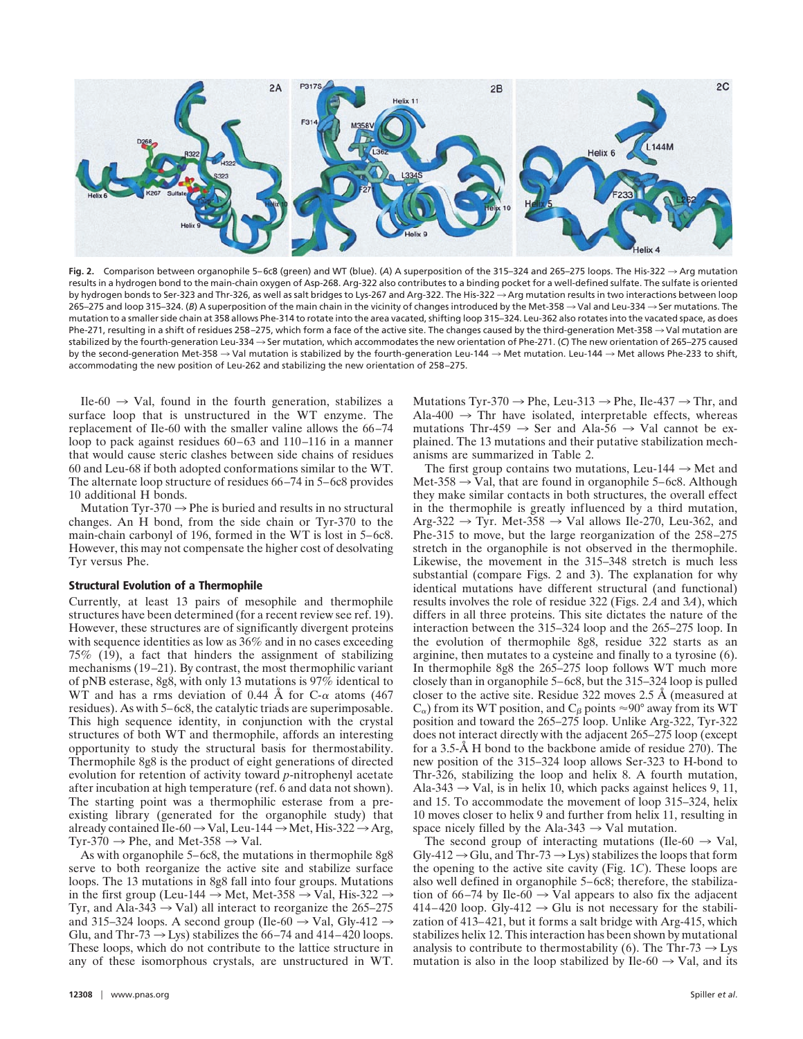

Fig. 2. Comparison between organophile 5–6c8 (green) and WT (blue). (*A*) A superposition of the 315–324 and 265–275 loops. The His-322 → Arg mutation results in a hydrogen bond to the main-chain oxygen of Asp-268. Arg-322 also contributes to a binding pocket for a well-defined sulfate. The sulfate is oriented by hydrogen bonds to Ser-323 and Thr-326, as well as salt bridges to Lys-267 and Arg-322. The His-322  $\rightarrow$  Arg mutation results in two interactions between loop 265–275 and loop 315–324. (*B*) A superposition of the main chain in the vicinity of changes introduced by the Met-358  $\rightarrow$  Val and Leu-334  $\rightarrow$  Ser mutations. The mutation to a smaller side chain at 358 allows Phe-314 to rotate into the area vacated, shifting loop 315–324. Leu-362 also rotates into the vacated space, as does Phe-271, resulting in a shift of residues 258-275, which form a face of the active site. The changes caused by the third-generation Met-358  $\rightarrow$  Val mutation are stabilized by the fourth-generation Leu-334 → Ser mutation, which accommodates the new orientation of Phe-271. (C) The new orientation of 265–275 caused by the second-generation Met-358  $\rightarrow$  Val mutation is stabilized by the fourth-generation Leu-144  $\rightarrow$  Met mutation. Leu-144  $\rightarrow$  Met allows Phe-233 to shift, accommodating the new position of Leu-262 and stabilizing the new orientation of 258–275.

Ile-60  $\rightarrow$  Val, found in the fourth generation, stabilizes a surface loop that is unstructured in the WT enzyme. The replacement of Ile-60 with the smaller valine allows the 66–74 loop to pack against residues 60–63 and 110–116 in a manner that would cause steric clashes between side chains of residues 60 and Leu-68 if both adopted conformations similar to the WT. The alternate loop structure of residues 66–74 in 5–6c8 provides 10 additional H bonds.

Mutation Tyr-370  $\rightarrow$  Phe is buried and results in no structural changes. An H bond, from the side chain or Tyr-370 to the main-chain carbonyl of 196, formed in the WT is lost in 5–6c8. However, this may not compensate the higher cost of desolvating Tyr versus Phe.

#### **Structural Evolution of a Thermophile**

Currently, at least 13 pairs of mesophile and thermophile structures have been determined (for a recent review see ref. 19). However, these structures are of significantly divergent proteins with sequence identities as low as 36% and in no cases exceeding 75% (19), a fact that hinders the assignment of stabilizing mechanisms (19–21). By contrast, the most thermophilic variant of pNB esterase, 8g8, with only 13 mutations is 97% identical to WT and has a rms deviation of 0.44 Å for C- $\alpha$  atoms (467) residues). As with 5–6c8, the catalytic triads are superimposable. This high sequence identity, in conjunction with the crystal structures of both WT and thermophile, affords an interesting opportunity to study the structural basis for thermostability. Thermophile 8g8 is the product of eight generations of directed evolution for retention of activity toward *p*-nitrophenyl acetate after incubation at high temperature (ref. 6 and data not shown). The starting point was a thermophilic esterase from a preexisting library (generated for the organophile study) that already contained Ile-60  $\rightarrow$  Val, Leu-144  $\rightarrow$  Met, His-322  $\rightarrow$  Arg, Tyr-370  $\rightarrow$  Phe, and Met-358  $\rightarrow$  Val.

As with organophile 5–6c8, the mutations in thermophile 8g8 serve to both reorganize the active site and stabilize surface loops. The 13 mutations in 8g8 fall into four groups. Mutations in the first group (Leu-144  $\rightarrow$  Met, Met-358  $\rightarrow$  Val, His-322  $\rightarrow$ Tyr, and Ala-343  $\rightarrow$  Val) all interact to reorganize the 265–275 and 315–324 loops. A second group (Ile-60  $\rightarrow$  Val, Gly-412  $\rightarrow$ Glu, and Thr-73  $\rightarrow$  Lys) stabilizes the 66–74 and 414–420 loops. These loops, which do not contribute to the lattice structure in any of these isomorphous crystals, are unstructured in WT.

Mutations Tyr-370  $\rightarrow$  Phe, Leu-313  $\rightarrow$  Phe, Ile-437  $\rightarrow$  Thr, and Ala-400  $\rightarrow$  Thr have isolated, interpretable effects, whereas mutations Thr-459  $\rightarrow$  Ser and Ala-56  $\rightarrow$  Val cannot be explained. The 13 mutations and their putative stabilization mechanisms are summarized in Table 2.

The first group contains two mutations, Leu-144  $\rightarrow$  Met and Met-358  $\rightarrow$  Val, that are found in organophile 5–6c8. Although they make similar contacts in both structures, the overall effect in the thermophile is greatly influenced by a third mutation, Arg-322  $\rightarrow$  Tyr. Met-358  $\rightarrow$  Val allows Ile-270, Leu-362, and Phe-315 to move, but the large reorganization of the 258–275 stretch in the organophile is not observed in the thermophile. Likewise, the movement in the 315–348 stretch is much less substantial (compare Figs. 2 and 3). The explanation for why identical mutations have different structural (and functional) results involves the role of residue 322 (Figs. 2*A* and 3*A*), which differs in all three proteins. This site dictates the nature of the interaction between the 315–324 loop and the 265–275 loop. In the evolution of thermophile 8g8, residue 322 starts as an arginine, then mutates to a cysteine and finally to a tyrosine (6). In thermophile 8g8 the 265–275 loop follows WT much more closely than in organophile 5–6c8, but the 315–324 loop is pulled closer to the active site. Residue 322 moves 2.5 Å (measured at  $C_{\alpha}$ ) from its WT position, and  $C_{\beta}$  points  $\approx$ 90° away from its WT position and toward the 265–275 loop. Unlike Arg-322, Tyr-322 does not interact directly with the adjacent 265–275 loop (except for a 3.5-Å H bond to the backbone amide of residue 270). The new position of the 315–324 loop allows Ser-323 to H-bond to Thr-326, stabilizing the loop and helix 8. A fourth mutation, Ala-343  $\rightarrow$  Val, is in helix 10, which packs against helices 9, 11, and 15. To accommodate the movement of loop 315–324, helix 10 moves closer to helix 9 and further from helix 11, resulting in space nicely filled by the Ala-343  $\rightarrow$  Val mutation.

The second group of interacting mutations (Ile-60  $\rightarrow$  Val, Gly-412  $\rightarrow$  Glu, and Thr-73  $\rightarrow$  Lys) stabilizes the loops that form the opening to the active site cavity (Fig. 1*C*). These loops are also well defined in organophile 5–6c8; therefore, the stabilization of 66–74 by Ile-60  $\rightarrow$  Val appears to also fix the adjacent 414–420 loop. Gly-412  $\rightarrow$  Glu is not necessary for the stabilization of 413–421, but it forms a salt bridge with Arg-415, which stabilizes helix 12. This interaction has been shown by mutational analysis to contribute to thermostability (6). The Thr-73  $\rightarrow$  Lys mutation is also in the loop stabilized by Ile-60  $\rightarrow$  Val, and its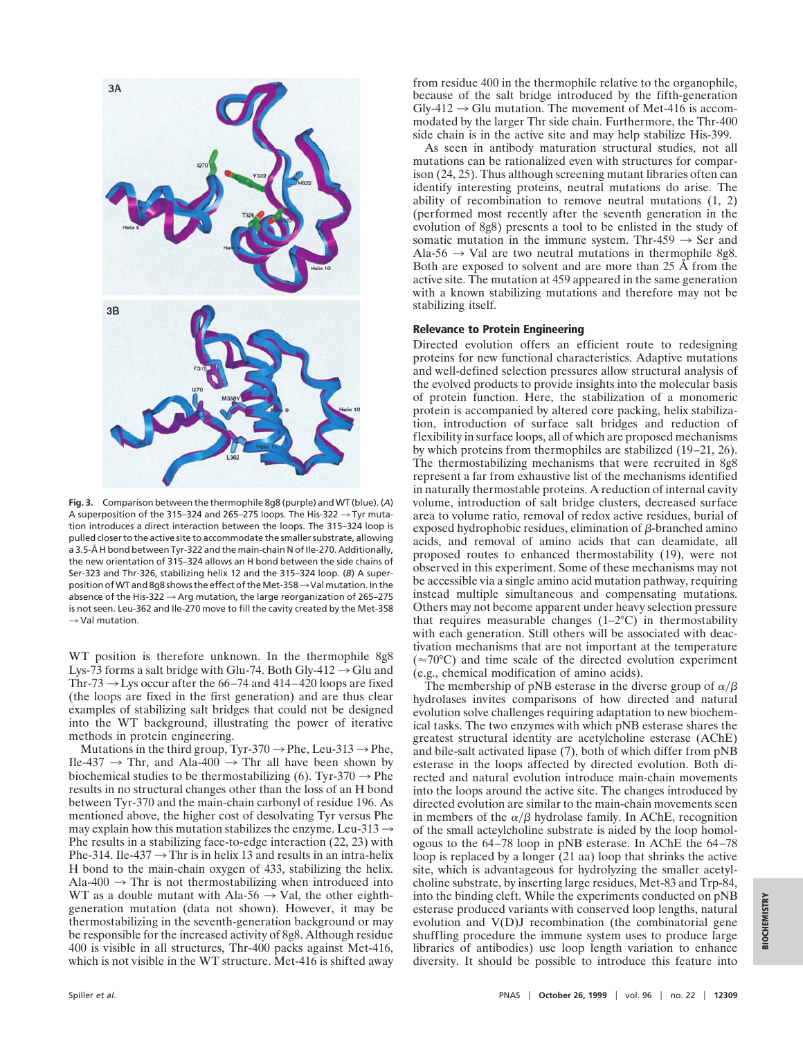

**Fig. 3.** Comparison between the thermophile 8g8 (purple) and WT (blue). (*A*) A superposition of the 315–324 and 265–275 loops. The His-322  $\rightarrow$  Tyr mutation introduces a direct interaction between the loops. The 315–324 loop is pulled closer to the active site to accommodate the smaller substrate, allowing a 3.5-Å H bond between Tyr-322 and the main-chain N of Ile-270. Additionally, the new orientation of 315–324 allows an H bond between the side chains of Ser-323 and Thr-326, stabilizing helix 12 and the 315–324 loop. (*B*) A superposition of WT and 8q8 shows the effect of the Met-358  $\rightarrow$  Val mutation. In the absence of the His-322  $\rightarrow$  Arg mutation, the large reorganization of 265–275 is not seen. Leu-362 and Ile-270 move to fill the cavity created by the Met-358  $\rightarrow$  Val mutation.

WT position is therefore unknown. In the thermophile 8g8 Lys-73 forms a salt bridge with Glu-74. Both Gly-412  $\rightarrow$  Glu and Thr-73  $\rightarrow$  Lys occur after the 66–74 and 414–420 loops are fixed (the loops are fixed in the first generation) and are thus clear examples of stabilizing salt bridges that could not be designed into the WT background, illustrating the power of iterative methods in protein engineering.

Mutations in the third group, Tyr-370  $\rightarrow$  Phe, Leu-313  $\rightarrow$  Phe, Ile-437  $\rightarrow$  Thr, and Ala-400  $\rightarrow$  Thr all have been shown by biochemical studies to be thermostabilizing (6). Tyr-370  $\rightarrow$  Phe results in no structural changes other than the loss of an H bond between Tyr-370 and the main-chain carbonyl of residue 196. As mentioned above, the higher cost of desolvating Tyr versus Phe may explain how this mutation stabilizes the enzyme. Leu-313  $\rightarrow$ Phe results in a stabilizing face-to-edge interaction (22, 23) with Phe-314. Ile-437  $\rightarrow$  Thr is in helix 13 and results in an intra-helix H bond to the main-chain oxygen of 433, stabilizing the helix. Ala-400  $\rightarrow$  Thr is not thermostabilizing when introduced into WT as a double mutant with Ala-56  $\rightarrow$  Val, the other eighthgeneration mutation (data not shown). However, it may be thermostabilizing in the seventh-generation background or may be responsible for the increased activity of 8g8. Although residue 400 is visible in all structures, Thr-400 packs against Met-416, which is not visible in the WT structure. Met-416 is shifted away from residue 400 in the thermophile relative to the organophile, because of the salt bridge introduced by the fifth-generation  $Gly-412 \rightarrow Glu$  mutation. The movement of Met-416 is accommodated by the larger Thr side chain. Furthermore, the Thr-400 side chain is in the active site and may help stabilize His-399.

As seen in antibody maturation structural studies, not all mutations can be rationalized even with structures for comparison (24, 25). Thus although screening mutant libraries often can identify interesting proteins, neutral mutations do arise. The ability of recombination to remove neutral mutations (1, 2) (performed most recently after the seventh generation in the evolution of 8g8) presents a tool to be enlisted in the study of somatic mutation in the immune system. Thr-459  $\rightarrow$  Ser and Ala-56  $\rightarrow$  Val are two neutral mutations in thermophile 8g8. Both are exposed to solvent and are more than 25 Å from the active site. The mutation at 459 appeared in the same generation with a known stabilizing mutations and therefore may not be stabilizing itself.

## **Relevance to Protein Engineering**

Directed evolution offers an efficient route to redesigning proteins for new functional characteristics. Adaptive mutations and well-defined selection pressures allow structural analysis of the evolved products to provide insights into the molecular basis of protein function. Here, the stabilization of a monomeric protein is accompanied by altered core packing, helix stabilization, introduction of surface salt bridges and reduction of flexibility in surface loops, all of which are proposed mechanisms by which proteins from thermophiles are stabilized (19–21, 26). The thermostabilizing mechanisms that were recruited in 8g8 represent a far from exhaustive list of the mechanisms identified in naturally thermostable proteins. A reduction of internal cavity volume, introduction of salt bridge clusters, decreased surface area to volume ratio, removal of redox active residues, burial of exposed hydrophobic residues, elimination of  $\beta$ -branched amino acids, and removal of amino acids that can deamidate, all proposed routes to enhanced thermostability (19), were not observed in this experiment. Some of these mechanisms may not be accessible via a single amino acid mutation pathway, requiring instead multiple simultaneous and compensating mutations. Others may not become apparent under heavy selection pressure that requires measurable changes  $(1-2°C)$  in thermostability with each generation. Still others will be associated with deactivation mechanisms that are not important at the temperature  $(\approx 70^{\circ}C)$  and time scale of the directed evolution experiment (e.g., chemical modification of amino acids).

The membership of pNB esterase in the diverse group of  $\alpha/\beta$ hydrolases invites comparisons of how directed and natural evolution solve challenges requiring adaptation to new biochemical tasks. The two enzymes with which pNB esterase shares the greatest structural identity are acetylcholine esterase (AChE) and bile-salt activated lipase (7), both of which differ from pNB esterase in the loops affected by directed evolution. Both directed and natural evolution introduce main-chain movements into the loops around the active site. The changes introduced by directed evolution are similar to the main-chain movements seen in members of the  $\alpha/\beta$  hydrolase family. In AChE, recognition of the small acteylcholine substrate is aided by the loop homologous to the 64–78 loop in pNB esterase. In AChE the 64–78 loop is replaced by a longer  $(21 \text{ aa})$  loop that shrinks the active site, which is advantageous for hydrolyzing the smaller acetylcholine substrate, by inserting large residues, Met-83 and Trp-84, into the binding cleft. While the experiments conducted on pNB esterase produced variants with conserved loop lengths, natural evolution and V(D)J recombination (the combinatorial gene shuffling procedure the immune system uses to produce large libraries of antibodies) use loop length variation to enhance diversity. It should be possible to introduce this feature into